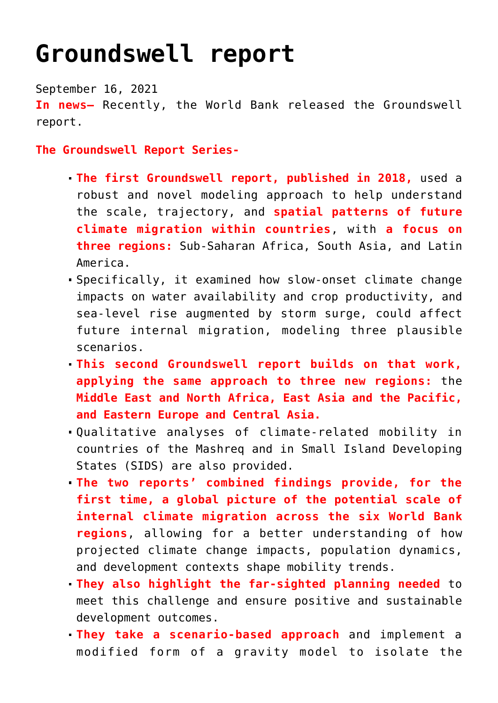## **[Groundswell report](https://journalsofindia.com/groundswell-report/)**

September 16, 2021

**In news–** Recently, the World Bank released the Groundswell report.

**The Groundswell Report Series-**

- **The first Groundswell report, published in 2018,** used a robust and novel modeling approach to help understand the scale, trajectory, and **spatial patterns of future climate migration within countries**, with **a focus on three regions:** Sub-Saharan Africa, South Asia, and Latin America.
- Specifically, it examined how slow-onset climate change impacts on water availability and crop productivity, and sea-level rise augmented by storm surge, could affect future internal migration, modeling three plausible scenarios.
- **This second Groundswell report builds on that work, applying the same approach to three new regions:** the **Middle East and North Africa, East Asia and the Pacific, and Eastern Europe and Central Asia.**
- Qualitative analyses of climate-related mobility in countries of the Mashreq and in Small Island Developing States (SIDS) are also provided.
- **The two reports' combined findings provide, for the first time, a global picture of the potential scale of internal climate migration across the six World Bank regions**, allowing for a better understanding of how projected climate change impacts, population dynamics, and development contexts shape mobility trends.
- **They also highlight the far-sighted planning needed** to meet this challenge and ensure positive and sustainable development outcomes.
- **They take a scenario-based approach** and implement a modified form of a gravity model to isolate the